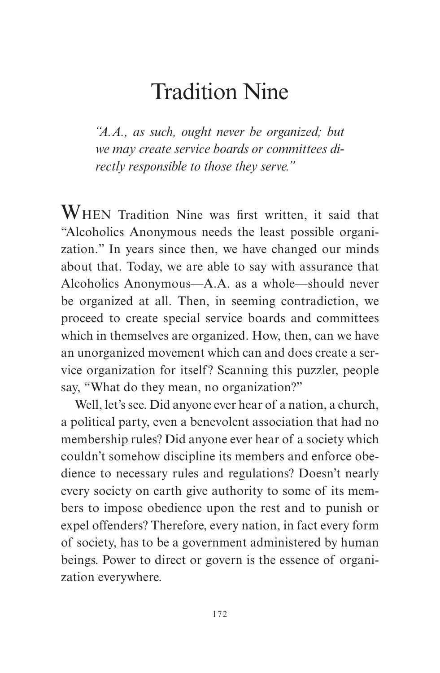## Tradition Nine

*"A.A., as such, ought never be organized; but we may create service boards or committees directly responsible to those they serve."*

WHEN Tradition Nine was first written, it said that "Alcoholics Anonymous needs the least possible organization." In years since then, we have changed our minds about that. Today, we are able to say with assurance that Alcoholics Anonymous—A.A. as a whole—should never be organized at all. Then, in seeming contradiction, we proceed to create special service boards and committees which in themselves are organized. How, then, can we have an unorganized movement which can and does create a service organization for itself? Scanning this puzzler, people say, "What do they mean, no organization?"

Well, let's see. Did anyone ever hear of a nation, a church, a political party, even a benevolent association that had no membership rules? Did anyone ever hear of a society which couldn't somehow discipline its members and enforce obedience to necessary rules and regulations? Doesn't nearly every society on earth give authority to some of its members to impose obedience upon the rest and to punish or expel offenders? Therefore, every nation, in fact every form of society, has to be a government administered by human beings. Power to direct or govern is the essence of organization everywhere.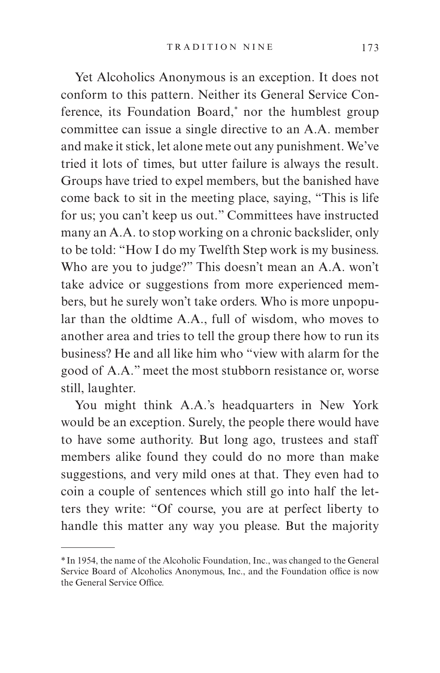Yet Alcoholics Anonymous is an exception. It does not conform to this pattern. Neither its General Service Conference, its Foundation Board,\* nor the humblest group committee can issue a single directive to an A.A. member and make it stick, let alone mete out any punishment. We've tried it lots of times, but utter failure is always the result. Groups have tried to expel members, but the banished have come back to sit in the meeting place, saying, "This is life for us; you can't keep us out." Committees have instructed many an A.A. to stop working on a chronic backslider, only to be told: "How I do my Twelfth Step work is my business. Who are you to judge?" This doesn't mean an A.A. won't take advice or suggestions from more experienced members, but he surely won't take orders. Who is more unpopular than the oldtime A.A., full of wisdom, who moves to another area and tries to tell the group there how to run its business? He and all like him who "view with alarm for the good of A.A." meet the most stubborn resistance or, worse still, laughter.

You might think A.A.'s headquarters in New York would be an exception. Surely, the people there would have to have some authority. But long ago, trustees and staff members alike found they could do no more than make suggestions, and very mild ones at that. They even had to coin a couple of sentences which still go into half the letters they write: "Of course, you are at perfect liberty to handle this matter any way you please. But the majority

<sup>\*</sup> In 1954, the name of the Alcoholic Foundation, Inc., was changed to the General Service Board of Alcoholics Anonymous, Inc., and the Foundation office is now the General Service Office.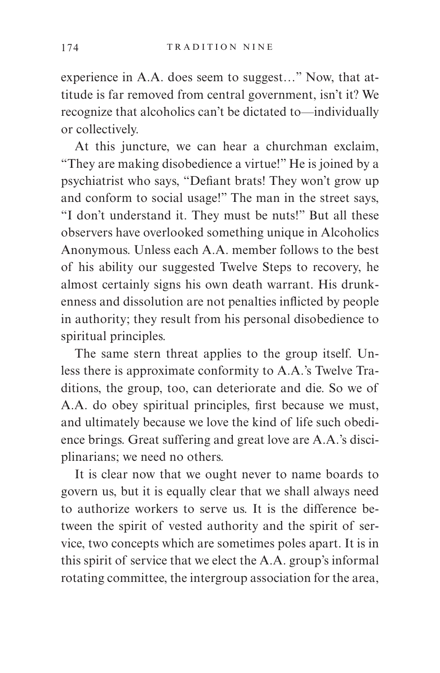experience in A.A. does seem to suggest…" Now, that attitude is far removed from central government, isn't it? We recognize that alcoholics can't be dictated to—individually or collectively.

At this juncture, we can hear a churchman exclaim, "They are making disobedience a virtue!" He is joined by a psychiatrist who says, "Defiant brats! They won't grow up and conform to social usage!" The man in the street says, "I don't understand it. They must be nuts!" But all these observers have overlooked something unique in Alcoholics Anonymous. Unless each A.A. member follows to the best of his ability our suggested Twelve Steps to recovery, he almost certainly signs his own death warrant. His drunkenness and dissolution are not penalties inflicted by people in authority; they result from his personal disobedience to spiritual principles.

The same stern threat applies to the group itself. Unless there is approximate conformity to A.A.'s Twelve Traditions, the group, too, can deteriorate and die. So we of A.A. do obey spiritual principles, first because we must, and ultimately because we love the kind of life such obedience brings. Great suffering and great love are A.A.'s disciplinarians; we need no others.

It is clear now that we ought never to name boards to govern us, but it is equally clear that we shall always need to authorize workers to serve us. It is the difference between the spirit of vested authority and the spirit of service, two concepts which are sometimes poles apart. It is in this spirit of service that we elect the A.A. group's informal rotating committee, the intergroup association for the area,